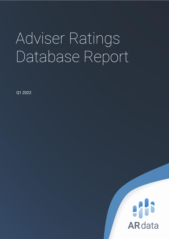# Adviser Ratings Database Report

Q1 2022

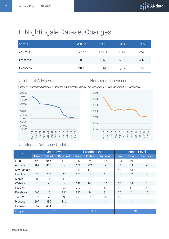# 1. Nightingale Dataset Changes

| Overall   | $Jan-22$ | Apr-22 | Dif # | Dif %   |
|-----------|----------|--------|-------|---------|
| Advisers  | 17,579   | 17,061 | (518) | $-2.9%$ |
| Practices | 7,091    | 6,852  | (239) | $-3.4%$ |
| Licensees | 2,082    | 2,061  | (21)  | $-1.0%$ |

#### Number of Advisers Number of Licensees

*Number of Authorised Advisers/Licensees on the ASIC Financial Adviser Register – Not including FX & Timeshare*





#### Nightingale Database Updates

| $\triangle$     | <b>Adviser Level</b>     |                          |                          |            | <b>Practice Level</b>    |                          | <b>Licensee Level</b>    |                |                |  |
|-----------------|--------------------------|--------------------------|--------------------------|------------|--------------------------|--------------------------|--------------------------|----------------|----------------|--|
|                 | <b>New</b>               | <b>Edited</b>            | Removed                  | <b>New</b> | <b>Edited</b>            | Removed                  | <b>New</b>               | <b>Edited</b>  | <b>Removed</b> |  |
| Email           | 697                      | 645                      | 119                      | 330        | 74                       | 17                       | 175                      | 19             | 1              |  |
| Address         | 297                      | 886                      | $\overline{\phantom{a}}$ | 158        | 221                      | $\overline{\phantom{a}}$ | 43                       | 89             | -              |  |
| Key Contact     | $\overline{\phantom{a}}$ |                          | $\overline{\phantom{a}}$ | 158        | 118                      | $\overline{\phantom{a}}$ | 43                       | 68             |                |  |
| Landline        | 370                      | 733                      | 47                       | 173        | 64                       | 11                       | 47                       | 42             |                |  |
| Mobile          | 685                      | 71                       | 11                       |            | $\overline{\phantom{a}}$ | $\overline{\phantom{a}}$ | $\overline{\phantom{a}}$ |                |                |  |
| Website         |                          | $\overline{\phantom{0}}$ | $\overline{\phantom{a}}$ | 198        | 143                      | 22                       | 55                       | 54             | $\overline{7}$ |  |
| LinkedIn        | 572                      | 165                      | 42                       | 262        | 89                       | 46                       | 69                       | 41             | 20             |  |
| Facebook        | 560                      | 10                       | 136                      | 320        | 24                       | 31                       | 76                       | $\overline{4}$ | 15             |  |
| Twitter         | 374                      | 2                        | 9                        | 201        | 7                        | 20                       | 59                       | 5              | 12             |  |
| Practice        | 297                      | 436                      | 816                      |            | $\overline{\phantom{0}}$ | $\overline{\phantom{a}}$ | $\overline{\phantom{a}}$ |                |                |  |
| Licensee        | 297                      | 414                      | 816                      |            | $\overline{\phantom{a}}$ | $\overline{\phantom{a}}$ | ۰                        |                |                |  |
| Unique<br>3,461 |                          |                          |                          | 939        |                          | 331                      |                          |                |                |  |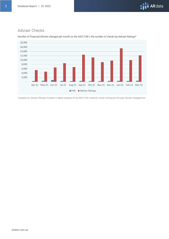#### Adviser Checks



*Number of Financial Adviser changes per month on the ASIC FAR v the number of checks by Adviser Ratings\**

\*Updates by Adviser Ratings includes in-depth analysis of the ASIC FAR, research, email mining and through Adviser engagement.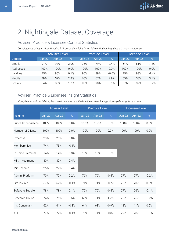## 2. Nightingale Dataset Coverage

#### Adviser, Practice & Licensee Contact Statistics

*Completeness of key Adviser, Practice & Licensee data fields in the Adviser Ratings Nightingale Contacts database*

|           | <b>Adviser Level</b> |        |      |          | <b>Practice Level</b> |         | Licensee Level |          |         |
|-----------|----------------------|--------|------|----------|-----------------------|---------|----------------|----------|---------|
| Contact   | $Jan-22$             | Apr-22 | %    | $Jan-22$ | Apr-22                | $\%$    | $Jan-22$       | $Arr-22$ | $\%$    |
| Emails    | 91%                  | 93%    | 2.0% | 76%      | 79%                   | 2.4%    | 54%            | 61%      | 7.2%    |
| Addresses | 100%                 | 100%   | 0.0% | 100%     | 100%                  | 0.0%    | 100%           | 100%     | 0.0%    |
| Landline  | 95%                  | 95%    | 0.1% | 90%      | 89%                   | $-0.6%$ | 95%            | 93%      | $-1.4%$ |
| Mobile    | 49%                  | 52%    | 2.8% | 65%      | 67%                   | 2.9%    | 55%            | 58%      | 3.1%    |
| Socials   | 84%                  | 86%    | 1.7% | 90%      | 90%                   | 0.1%    | 87%            | 87%      | $-0.2%$ |

#### Adviser, Practice & Licensee Insight Statistics

*Completeness of key Adviser, Practice & Licensee data fields in the Adviser Ratings Nightingale Insights database*

|                    | <b>Adviser Level</b> |        |         |          | <b>Practice Level</b> |         | <b>Licensee Level</b> |        |         |
|--------------------|----------------------|--------|---------|----------|-----------------------|---------|-----------------------|--------|---------|
| Insights           | $Jan-22$             | Apr-22 | $\%$    | $Jan-22$ | Apr-22                | %       | $Jan-22$              | Apr-22 | $\%$    |
| Funds Under Advice | 100%                 | 100%   | 0.0%    | 100%     | 100%                  | 0.0%    | 100%                  | 100%   | 0.0%    |
| Number of Clients  | 100%                 | 100%   | 0.0%    | 100%     | 100%                  | 0.0%    | 100%                  | 100%   | 0.0%    |
| Expertise          | 20%                  | 21%    | 0.8%    |          |                       |         |                       |        |         |
| Memberships        | 74%                  | 73%    | $-0.1%$ |          |                       |         |                       |        |         |
| In-Force Premium   | 14%                  | 14%    | 0.3%    | 16%      | 16%                   | 0.0%    |                       |        |         |
| Min. Investment    | 30%                  | 30%    | 0.4%    |          |                       |         |                       |        |         |
| Min. Income        | 26%                  | 27%    | 0.4%    |          |                       |         |                       |        |         |
| Admin. Platform    | 79%                  | 79%    | 0.2%    | 76%      | 76%                   | $-0.5%$ | 27%                   | 27%    | $-0.2%$ |
| Life Insurer       | 67%                  | 67%    | $-0.1%$ | 71%      | 71%                   | $-0.7%$ | 20%                   | 20%    | 0.0%    |
| Software Supplier  | 78%                  | 78%    | 0.1%    | 75%      | 75%                   | $-0.5%$ | 27%                   | 26%    | $-0.1%$ |
| Research House     | 74%                  | 76%    | 1.5%    | 69%      | 71%                   | 1.7%    | 25%                   | 25%    | $-0.2%$ |
| Inv. Consultant    | 62%                  | 61%    | $-0.3%$ | 64%      | 63%                   | $-0.9%$ | 12%                   | 11%    | 0.0%    |
| APL                | 77%                  | 77%    | $-0.1%$ | 75%      | 74%                   | $-0.8%$ | 29%                   | 28%    | $-0.1%$ |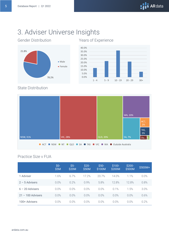## 3. Adviser Universe Insights





#### State Distribution



#### Practice Size v FUA

|                     | $$0-$<br>\$5M | $$5-$<br>\$20M | $$20-$<br>\$50M | $$50-$<br>\$100M | $$100-$<br>\$200M | $$200-$<br>\$500M | \$500M+ |
|---------------------|---------------|----------------|-----------------|------------------|-------------------|-------------------|---------|
| 1 Adviser           | 1.6%          | 67%            | 17.2%           | 20.7%            | 140%              | 1.1%              | 0.0%    |
| $2 - 5$ Advisers    | 0.0%          | 0.2%           | 0.9%            | 5.8%             | 12.8%             | 12.8%             | 0.8%    |
| $6 - 20$ Advisers   | 0.0%          | 0.0%           | 0.0%            | 0.0%             | 0.1%              | 1.5%              | 3.0%    |
| $21 - 100$ Advisers | 0.0%          | 0.0%           | 0.0%            | 0.0%             | 0.0%              | 0.0%              | 0.6%    |
| 100+ Advisers       | 0.0%          | 0.0%           | 0.0%            | 0.0%             | 0.0%              | 0.0%              | 0.2%    |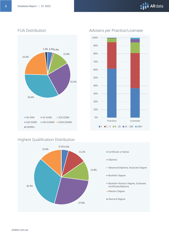# **AND** ARdata



#### FUA Distribution and Advisers per Practice/Licensee



#### Highest Qualification Distribution

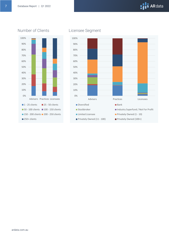# **AN** ARdata



#### Number of Clients Licensee Segment